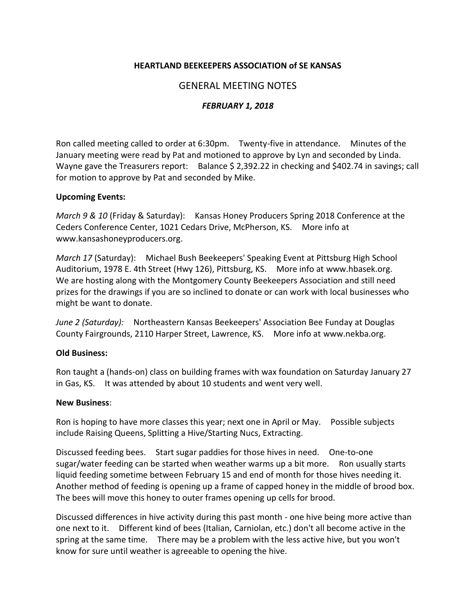## **HEARTLAND BEEKEEPERS ASSOCIATION of SE KANSAS**

# GENERAL MEETING NOTES

## *FEBRUARY 1, 2018*

Ron called meeting called to order at 6:30pm. Twenty-five in attendance. Minutes of the January meeting were read by Pat and motioned to approve by Lyn and seconded by Linda. Wayne gave the Treasurers report: Balance \$ 2,392.22 in checking and \$402.74 in savings; call for motion to approve by Pat and seconded by Mike.

#### **Upcoming Events:**

*March 9 & 10* (Friday & Saturday): Kansas Honey Producers Spring 2018 Conference at the Ceders Conference Center, 1021 Cedars Drive, McPherson, KS. More info at [www.kansashoneyproducers.org.](www.kansashoneyproducers.org)

*March 17* (Saturday): Michael Bush Beekeepers' Speaking Event at Pittsburg High School Auditorium, 1978 E. 4th Street (Hwy 126), Pittsburg, KS. More info at [www.hbasek.org.](www.hbasek.org) We are hosting along with the Montgomery County Beekeepers Association and still need prizes for the drawings if you are so inclined to donate or can work with local businesses who might be want to donate.

*June 2 (Saturday):* Northeastern Kansas Beekeepers' Association Bee Funday at Douglas County Fairgrounds, 2110 Harper Street, Lawrence, KS. More info at [www.nekba.org.](www.nekba.org)

### **Old Business:**

Ron taught a (hands-on) class on building frames with wax foundation on Saturday January 27 in Gas, KS. It was attended by about 10 students and went very well.

#### **New Business**:

Ron is hoping to have more classes this year; next one in April or May. Possible subjects include Raising Queens, Splitting a Hive/Starting Nucs, Extracting.

Discussed feeding bees. Start sugar paddies for those hives in need. One-to-one sugar/water feeding can be started when weather warms up a bit more. Ron usually starts liquid feeding sometime between February 15 and end of month for those hives needing it. Another method of feeding is opening up a frame of capped honey in the middle of brood box. The bees will move this honey to outer frames opening up cells for brood.

Discussed differences in hive activity during this past month - one hive being more active than one next to it. Different kind of bees (Italian, Carniolan, etc.) don't all become active in the spring at the same time. There may be a problem with the less active hive, but you won't know for sure until weather is agreeable to opening the hive.